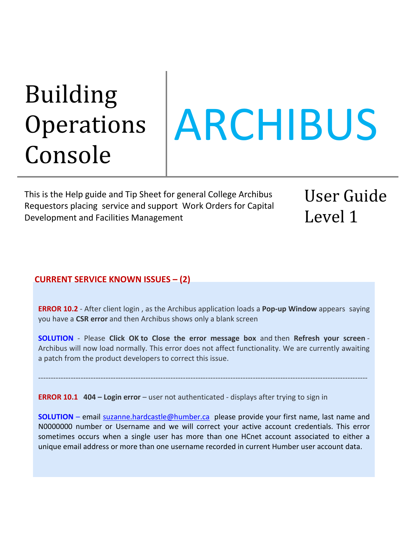# Building **Operations** Console

# ARCHIBUS

This is the Help guide and Tip Sheet for general College Archibus Requestors placing service and support Work Orders for Capital Development and Facilities Management

User Guide Level 1

#### **CURRENT SERVICE KNOWN ISSUES – (2)**

**ERROR 10.2** - After client login , as the Archibus application loads a **Pop-up Window** appears saying you have a **CSR error** and then Archibus shows only a blank screen

**SOLUTION** - Please **Click OK to Close the error message box** and then **Refresh your screen** - Archibus will now load normally. This error does not affect functionality. We are currently awaiting a patch from the product developers to correct this issue.

------------------------------------------------------------------------------------------------------------------------------------

**ERROR 10.1 404 – Login error** – user not authenticated - displays after trying to sign in

**SOLUTION** – email [suzanne.hardcastle@humber.ca](mailto:suzanne.hardcastle@humber.ca) please provide your first name, last name and N0000000 number or Username and we will correct your active account credentials. This error sometimes occurs when a single user has more than one HCnet account associated to either a unique email address or more than one username recorded in current Humber user account data.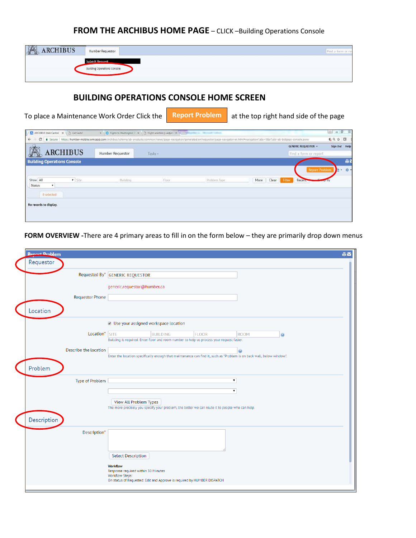## **FROM THE ARCHIBUS HOME PAGE** – CLICK –Building Operations Console

| XX<br><b>ARCHIBUS</b><br><b>CALLED</b> | Humber Requestor                                            | Find a form or re |
|----------------------------------------|-------------------------------------------------------------|-------------------|
|                                        | <b>Submit Request</b><br><b>Building Operations Console</b> |                   |

#### **BUILDING OPERATIONS CONSOLE HOME SCREEN**

| ARCHIBUS Web Central X   Cet Seats |                 |                         |         |                                                                                                                                                                                                           |      |       |                            | $\circ$<br>$81 =$ |
|------------------------------------|-----------------|-------------------------|---------|-----------------------------------------------------------------------------------------------------------------------------------------------------------------------------------------------------------|------|-------|----------------------------|-------------------|
| C.<br>$\leftarrow$                 |                 |                         |         | 6 Secure   https://humber-mobile.iwmsapp.com/archibus/schema/ab-products/common/views/page-navigation/generated/en/requestor/page-navigation/andor-en.html#navigationTabs=08eTask=ab-bldgops-console.axvw |      |       |                            | 6 6 ☆ 回           |
|                                    |                 |                         |         |                                                                                                                                                                                                           |      |       | <b>GENERIC REQUESTOR -</b> | Sign Out Help     |
|                                    | <b>ARCHIBUS</b> | <b>Humber Requestor</b> | Tasks - |                                                                                                                                                                                                           |      |       | Find a form or report.     |                   |
| <b>Building Operations Console</b> |                 |                         |         |                                                                                                                                                                                                           |      |       |                            | <b>ALL</b>        |
|                                    |                 |                         |         |                                                                                                                                                                                                           |      |       | <b>Report Problem</b>      | 中· 春·             |
| Show All                           | v Site          | Building                | Floor   | Problem Type                                                                                                                                                                                              | More | Clear | Filter<br>Recent           |                   |
| <b>Status</b><br>۷.                |                 |                         |         |                                                                                                                                                                                                           |      |       |                            |                   |
| 0 selected                         |                 |                         |         |                                                                                                                                                                                                           |      |       |                            |                   |
|                                    |                 |                         |         |                                                                                                                                                                                                           |      |       |                            |                   |
| No records to display.             |                 |                         |         |                                                                                                                                                                                                           |      |       |                            |                   |

**FORM OVERVIEW -**There are 4 primary areas to fill in on the form below – they are primarily drop down menus

| <b>Renort Problem</b>  | <b>AV</b>                                                                                                                                        |
|------------------------|--------------------------------------------------------------------------------------------------------------------------------------------------|
| Requestor              |                                                                                                                                                  |
|                        | Requested By* GENERIC REQUESTOR                                                                                                                  |
|                        | generic.requestor@humber.ca                                                                                                                      |
| <b>Requestor Phone</b> |                                                                                                                                                  |
| Location               |                                                                                                                                                  |
|                        | Use your assigned workspace location                                                                                                             |
| Location* SITE         | <b>BUILDING</b><br><b>FLOOR</b><br><b>ROOM</b><br>0<br>Building is required. Enter floor and room number to help us process your request faster. |
|                        |                                                                                                                                                  |
| Describe the location  | Enter the location specifically enough that maintenance can find it, such as "Problem is on back wall, below window.".                           |
|                        |                                                                                                                                                  |
| Problem                |                                                                                                                                                  |
| Type of Problem        | $\pmb{\mathrm{v}}$                                                                                                                               |
|                        | $\pmb{\mathrm{v}}$                                                                                                                               |
|                        | View All Problem Types                                                                                                                           |
|                        | The more precisely you specify your problem, the better we can route it to people who can help.                                                  |
| Description            |                                                                                                                                                  |
| Description*           |                                                                                                                                                  |
|                        |                                                                                                                                                  |
|                        | <b>Select Description</b>                                                                                                                        |
|                        | <b>Workflow</b>                                                                                                                                  |
|                        | Response required within 30 Minutes<br>Workflow Steps:                                                                                           |
|                        | On status of Requested: Edit and Approve is required by HUMBER DISPATCH                                                                          |
|                        |                                                                                                                                                  |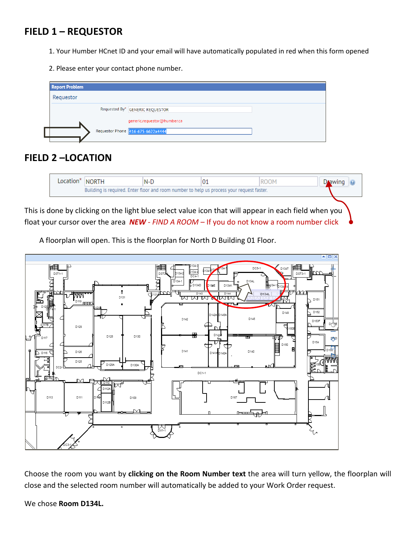# **FIELD 1 – REQUESTOR**

- 1. Your Humber HCnet ID and your email will have automatically populated in red when this form opened
- 2. Please enter your contact phone number.



# **FIELD 2 –LOCATION**



This is done by clicking on the light blue select value icon that will appear in each field when you float your cursor over the area *NEW - FIND A ROOM* – If you do not know a room number click

A floorplan will open. This is the floorplan for North D Building 01 Floor.



Choose the room you want by **clicking on the Room Number text** the area will turn yellow, the floorplan will close and the selected room number will automatically be added to your Work Order request.

We chose **Room D134L.**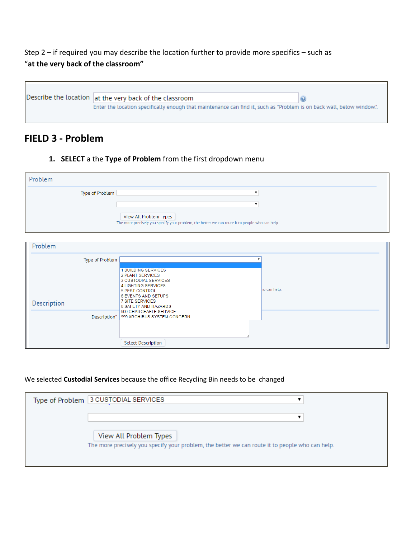Step 2 – if required you may describe the location further to provide more specifics – such as "**at the very back of the classroom"**

Describe the location at the very back of the classroom  $\odot$ Enter the location specifically enough that maintenance can find it, such as "Problem is on back wall, below window.".

# **FIELD 3 - Problem**

**1. SELECT** a the **Type of Problem** from the first dropdown menu

| Problem         |                                                                                                                           |
|-----------------|---------------------------------------------------------------------------------------------------------------------------|
| Type of Problem |                                                                                                                           |
|                 |                                                                                                                           |
|                 | View All Problem Types<br>The more precisely you specify your problem, the better we can route it to people who can help. |

| Problem                                        |                                                                                                                                                                                                                                                                 |              |
|------------------------------------------------|-----------------------------------------------------------------------------------------------------------------------------------------------------------------------------------------------------------------------------------------------------------------|--------------|
| Type of Problem<br>Description<br>Description* | <b>1 BUILDING SERVICES</b><br>2 PLANT SERVICES<br>3 CUSTODIAL SERVICES<br>4 LIGHTING SERVICES<br><b>5 PEST CONTROL</b><br><b>6 EVENTS AND SETUPS</b><br><b>7 SITE SERVICES</b><br>8 SAFETY AND HAZARDS<br>900 CHARGEABLE SERVICE<br>999 ARCHIBUS SYSTEM CONCERN | ho can help. |
|                                                | <b>Select Description</b>                                                                                                                                                                                                                                       |              |

#### We selected **Custodial Services** because the office Recycling Bin needs to be changed

| Type of Problem 3 CUSTODIAL SERVICES                                                            |
|-------------------------------------------------------------------------------------------------|
|                                                                                                 |
| View All Problem Types                                                                          |
| The more precisely you specify your problem, the better we can route it to people who can help. |
|                                                                                                 |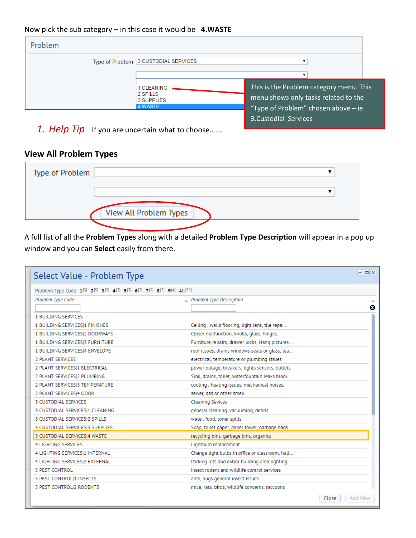#### Now pick the sub category – in this case it would be **4.WASTE**

| Problem |                                                        |                                                                                                                          |  |
|---------|--------------------------------------------------------|--------------------------------------------------------------------------------------------------------------------------|--|
|         | Type of Problem 3 CUSTODIAL SERVICES                   |                                                                                                                          |  |
|         |                                                        |                                                                                                                          |  |
|         | 1 CLEANING<br>2 SPILLS<br>3 SUPPLIES<br><b>4 WASTE</b> | This is the Problem category menu. This<br>menu shows only tasks related to the<br>"Type of Problem" chosen above $-$ ie |  |
|         |                                                        | 3. Custodial Services                                                                                                    |  |

*1. Help Tip* If you are uncertain what to choose…….

## **View All Problem Types**

| Type of Problem |                        |  |
|-----------------|------------------------|--|
|                 |                        |  |
|                 | View All Problem Types |  |
|                 |                        |  |

A full list of all the **Problem Types** along with a detailed **Problem Type Description** will appear in a pop up window and you can **Select** easily from there.

| Select Value - Problem Type                                             |                                                 | $\blacksquare$ $\blacksquare$ |
|-------------------------------------------------------------------------|-------------------------------------------------|-------------------------------|
| Problem Type Code: 1[5] 2[5] 3[5] 4[3] 5[3] 6[3] 7[5] 8[3] 9[4] All[36] |                                                 |                               |
| Problem Type Code                                                       | $\triangle$ Problem Type Description            |                               |
|                                                                         |                                                 | ø                             |
| <b>1 BUILDING SERVICES</b>                                              |                                                 |                               |
| 1 BUILDING SERVICES 1 FINISHES                                          | Ceiling, walls flooring, light lens, tile repa  |                               |
| 1 BUILDING SERVICES 2 DOORWAYS                                          | Closer malfunction, knobs, glass, hinges.       |                               |
| 1 BUILDING SERVICES 3 FURNITURE                                         | Furniture repairs, drawer locks, Hang pictures  |                               |
| 1 BUILDING SERVICES 4 ENVELOPE                                          | roof issues, drains windows seals or glass, lea |                               |
| 2 PLANT SERVICES                                                        | electrical, temperature or plumbing issues      |                               |
| 2 PLANT SERVICES 1 ELECTRICAL                                           | power outage, breakers, lights sensors, outlets |                               |
| 2 PLANT SERVICESI2 PLUMBING                                             | Sink, drains, toilet, waterfountain leaks block |                               |
| 2 PLANT SERVICES 3 TEMPERATURE                                          | cooling, heating issues, mechanical noises,     |                               |
| 2 PLANT SERVICESI4 ODOR                                                 | sewer, gas or other smell                       |                               |
| 3 CUSTODIAL SERVICES                                                    | <b>Cleaning Sevices</b>                         |                               |
| 3 CUSTODIAL SERVICESI1 CLEANING                                         | general cleaning , vacuuming, debris            |                               |
| 3 CUSTODIAL SERVICESI2 SPILLS                                           | water, food, toner spills                       |                               |
| 3 CUSTODIAL SERVICESI3 SUPPLIES                                         | Soap, toilet paper, paper towel, garbage bags   |                               |
| 3 CUSTODIAL SERVICES 4 WASTE                                            | recycling bins, garbage bins, organics          |                               |
| <b>4 LIGHTING SERVICES</b>                                              | Lightbulb replacement                           |                               |
| 4 LIGHTING SERVICES 1 INTERNAL                                          | Change light bulbs in office or classroom, hall |                               |
| 4 LIGHTING SERVICES 2 EXTERNAL                                          | Parking lots and extior building area lighting  |                               |
| <b>5 PEST CONTROL</b>                                                   | insect rodent and wildlife control services.    |                               |
| 5 PEST CONTROL 1 INSECTS                                                | ants, bugs general insect issues                |                               |
| 5 PEST CONTROL 2 RODENTS                                                | mice, rats, birds, wildlife concerns, raccoons  |                               |
|                                                                         |                                                 | Add New<br>Close              |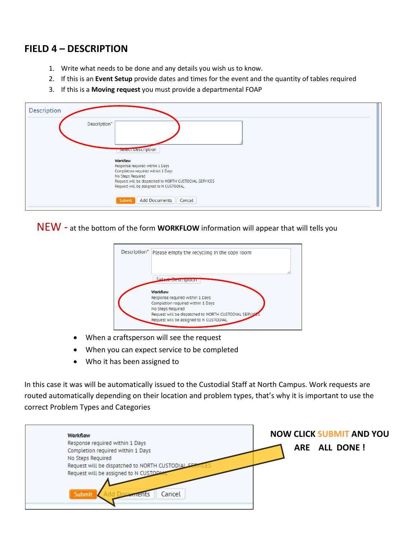# **FIELD 4 – DESCRIPTION**

- 1. Write what needs to be done and any details you wish us to know.
- 2. If this is an **Event Setup** provide dates and times for the event and the quantity of tables required
- 3. If this is a **Moving request** you must provide a departmental FOAP

| Description                                                                                                                                                                                                       |  |
|-------------------------------------------------------------------------------------------------------------------------------------------------------------------------------------------------------------------|--|
| Description*<br><b>Detect Description</b>                                                                                                                                                                         |  |
| <b>Workflow</b><br>Response required within 1 Days<br>Completion required within 1 Days<br>No Steps Required<br>Request will be dispatched to NORTH CUSTODIAL SERVICES<br>Request will be assigned to N CUSTODIAL |  |
| <b>Add Documents</b><br>Cancel<br>Submit                                                                                                                                                                          |  |

NEW - at the bottom of the form **WORKFLOW** information will appear that will tells you



- When a craftsperson will see the request
- When you can expect service to be completed
- Who it has been assigned to

In this case it was will be automatically issued to the Custodial Staff at North Campus. Work requests are routed automatically depending on their location and problem types, that's why it is important to use the correct Problem Types and Categories